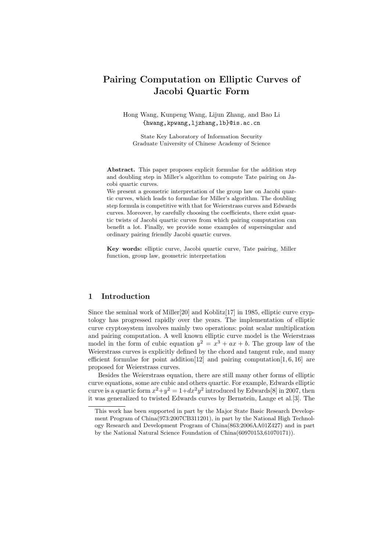# Pairing Computation on Elliptic Curves of Jacobi Quartic Form

Hong Wang, Kunpeng Wang, Lijun Zhang, and Bao Li {hwang,kpwang,ljzhang,lb}@is.ac.cn

State Key Laboratory of Information Security Graduate University of Chinese Academy of Science

Abstract. This paper proposes explicit formulae for the addition step and doubling step in Miller's algorithm to compute Tate pairing on Jacobi quartic curves.

We present a geometric interpretation of the group law on Jacobi quartic curves, which leads to formulae for Miller's algorithm. The doubling step formula is competitive with that for Weierstrass curves and Edwards curves. Moreover, by carefully choosing the coefficients, there exist quartic twists of Jacobi quartic curves from which pairing computation can benefit a lot. Finally, we provide some examples of supersingular and ordinary pairing friendly Jacobi quartic curves.

Key words: elliptic curve, Jacobi quartic curve, Tate pairing, Miller function, group law, geometric interpretation

## 1 Introduction

Since the seminal work of Miller<sup>[20]</sup> and Koblitz<sup>[17]</sup> in 1985, elliptic curve cryptology has progressed rapidly over the years. The implementation of elliptic curve cryptosystem involves mainly two operations: point scalar multiplication and pairing computation. A well known elliptic curve model is the Weierstrass model in the form of cubic equation  $y^2 = x^3 + ax + b$ . The group law of the Weierstrass curves is explicitly defined by the chord and tangent rule, and many efficient formulae for point addition<sup>[12]</sup> and pairing computation<sup>[1, 6, 16]</sup> are proposed for Weierstrass curves.

Besides the Weierstrass equation, there are still many other forms of elliptic curve equations, some are cubic and others quartic. For example, Edwards elliptic curve is a quartic form  $x^2+y^2=1+dx^2y^2$  introduced by Edwards [8] in 2007, then it was generalized to twisted Edwards curves by Bernstein, Lange et al.[3]. The

This work has been supported in part by the Major State Basic Research Development Program of China(973:2007CB311201), in part by the National High Technology Research and Development Program of China(863:2006AA01Z427) and in part by the National Natural Science Foundation of China(60970153,61070171)).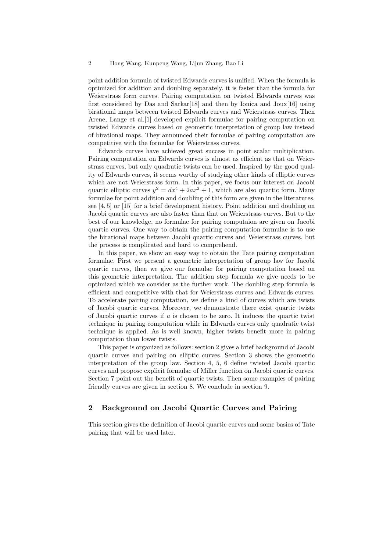point addition formula of twisted Edwards curves is unified. When the formula is optimized for addition and doubling separately, it is faster than the formula for Weierstrass form curves. Pairing computation on twisted Edwards curves was first considered by Das and Sarkar[18] and then by Ionica and Joux[16] using birational maps between twisted Edwards curves and Weierstrass curves. Then Arene, Lange et al.[1] developed explicit formulae for pairing computation on twisted Edwards curves based on geometric interpretation of group law instead of birational maps. They announced their formulae of pairing computation are competitive with the formulae for Weierstrass curves.

Edwards curves have achieved great success in point scalar multiplication. Pairing computation on Edwards curves is almost as efficient as that on Weierstrass curves, but only quadratic twists can be used. Inspired by the good quality of Edwards curves, it seems worthy of studying other kinds of elliptic curves which are not Weierstrass form. In this paper, we focus our interest on Jacobi quartic elliptic curves  $y^2 = dx^4 + 2ax^2 + 1$ , which are also quartic form. Many formulae for point addition and doubling of this form are given in the literatures, see [4, 5] or [15] for a brief development history. Point addition and doubling on Jacobi quartic curves are also faster than that on Weierstrass curves. But to the best of our knowledge, no formulae for pairing computaion are given on Jacobi quartic curves. One way to obtain the pairing computation formulae is to use the birational maps between Jacobi quartic curves and Weierstrass curves, but the process is complicated and hard to comprehend.

In this paper, we show an easy way to obtain the Tate pairing computation formulae. First we present a geometric interpretation of group law for Jacobi quartic curves, then we give our formulae for pairing computation based on this geometric interpretation. The addition step formula we give needs to be optimized which we consider as the further work. The doubling step formula is efficient and competitive with that for Weierstrass curves and Edwards curves. To accelerate pairing computation, we define a kind of curves which are twists of Jacobi quartic curves. Moreover, we demonstrate there exist quartic twists of Jacobi quartic curves if  $\alpha$  is chosen to be zero. It induces the quartic twist technique in pairing computation while in Edwards curves only quadratic twist technique is applied. As is well known, higher twists benefit more in pairing computation than lower twists.

This paper is organized as follows: section 2 gives a brief background of Jacobi quartic curves and pairing on elliptic curves. Section 3 shows the geometric interpretation of the group law. Section 4, 5, 6 define twisted Jacobi quartic curves and propose explicit formulae of Miller function on Jacobi quartic curves. Section 7 point out the benefit of quartic twists. Then some examples of pairing friendly curves are given in section 8. We conclude in section 9.

## 2 Background on Jacobi Quartic Curves and Pairing

This section gives the definition of Jacobi quartic curves and some basics of Tate pairing that will be used later.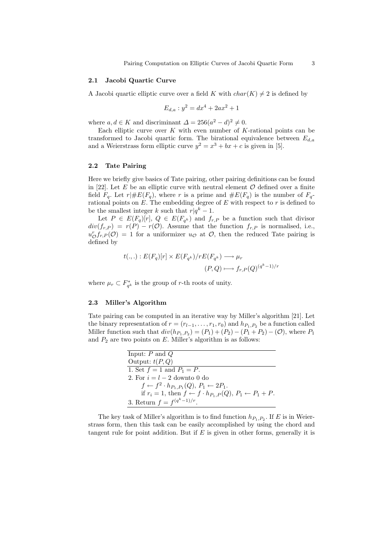#### 2.1 Jacobi Quartic Curve

A Jacobi quartic elliptic curve over a field K with  $char(K) \neq 2$  is defined by

$$
E_{d,a}: y^2 = dx^4 + 2ax^2 + 1
$$

where  $a, d \in K$  and discriminant  $\Delta = 256(a^2 - d)^2 \neq 0$ .

Each elliptic curve over  $K$  with even number of  $K$ -rational points can be transformed to Jacobi quartic form. The birational equivalence between  $E_{d,a}$ and a Weierstrass form elliptic curve  $y^2 = x^3 + bx + c$  is given in [5].

#### 2.2 Tate Pairing

Here we briefly give basics of Tate pairing, other pairing definitions can be found in [22]. Let E be an elliptic curve with neutral element  $\mathcal O$  defined over a finite field  $F_q$ . Let  $r| \# E(F_q)$ , where r is a prime and  $\# E(F_q)$  is the number of  $F_q$ rational points on  $E$ . The embedding degree of  $E$  with respect to  $r$  is defined to be the smallest integer k such that  $r|q^k-1$ .

Let  $P \in E(F_q)[r]$ ,  $Q \in E(F_{q^k})$  and  $f_{r,P}$  be a function such that divisor  $div(f_{r,P}) = r(P) - r(O)$ . Assume that the function  $f_{r,P}$  is normalised, i.e.,  $u_{\mathcal{O}}^{r} f_{r,P}(\mathcal{O}) = 1$  for a uniformizer  $u_{\mathcal{O}}$  at  $\mathcal{O}$ , then the reduced Tate pairing is defined by

$$
t(.,.): E(F_q)[r] \times E(F_{q^k})/rE(F_{q^k}) \longrightarrow \mu_r
$$
  

$$
(P,Q) \longmapsto f_{r,P}(Q)^{(q^k-1)/r}
$$

where  $\mu_r \subset F_{q^k}^*$  is the group of r-th roots of unity.

## 2.3 Miller's Algorithm

Tate pairing can be computed in an iterative way by Miller's algorithm [21]. Let the binary representation of  $r = (r_{l-1}, \ldots, r_1, r_0)$  and  $h_{P_1, P_2}$  be a function called Miller function such that  $div(h_{P_1,P_2}) = (P_1) + (P_2) - (P_1 + P_2) - (O)$ , where  $P_1$ and  $P_2$  are two points on E. Miller's algorithm is as follows:

| Input: $P$ and $Q$                                                                   |
|--------------------------------------------------------------------------------------|
| Output: $t(P,Q)$                                                                     |
| 1. Set $f = 1$ and $P_1 = P$ .                                                       |
| 2. For $i = l - 2$ downto 0 do                                                       |
| $f \leftarrow f^2 \cdot h_{P_1,P_1}(Q), P_1 \leftarrow 2P_1.$                        |
| if $r_i = 1$ , then $f \leftarrow f \cdot h_{P_1,P}(Q)$ , $P_1 \leftarrow P_1 + P$ . |
| 3. Return $f = f^{(q^k-1)/r}$ .                                                      |

The key task of Miller's algorithm is to find function  $h_{P_1,P_2}$ . If E is in Weierstrass form, then this task can be easily accomplished by using the chord and tangent rule for point addition. But if  $E$  is given in other forms, generally it is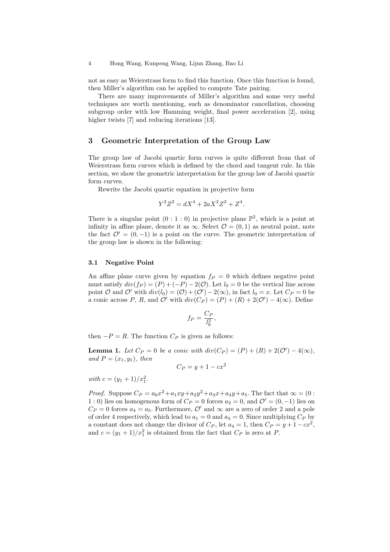not as easy as Weierstrass form to find this function. Once this function is found, then Miller's algorithm can be applied to compute Tate pairing.

There are many improvements of Miller's algorithm and some very useful techniques are worth mentioning, such as denominator cancellation, choosing subgroup order with low Hamming weight, final power acceleration [2], using higher twists [7] and reducing iterations [13].

#### 3 Geometric Interpretation of the Group Law

The group law of Jacobi quartic form curves is quite different from that of Weierstrass form curves which is defined by the chord and tangent rule. In this section, we show the geometric interpretation for the group law of Jacobi quartic form curves.

Rewrite the Jacobi quartic equation in projective form

$$
Y^2 Z^2 = dX^4 + 2aX^2 Z^2 + Z^4.
$$

There is a singular point  $(0:1:0)$  in projective plane  $\mathbb{P}^2$ , which is a point at infinity in affine plane, denote it as  $\infty$ . Select  $\mathcal{O} = (0, 1)$  as neutral point, note the fact  $\mathcal{O}' = (0, -1)$  is a point on the curve. The geometric interpretation of the group law is shown in the following:

#### 3.1 Negative Point

An affine plane curve given by equation  $f_P = 0$  which defines negative point must satisfy  $div(f_P) = (P) + (-P) - 2(\mathcal{O})$ . Let  $l_0 = 0$  be the vertical line across point O and O' with  $div(l_0) = (0) + (0') - 2(\infty)$ , in fact  $l_0 = x$ . Let  $C_P = 0$  be a conic across P, R, and  $\mathcal{O}'$  with  $div(C_P) = (P) + (R) + 2(\mathcal{O}') - 4(\infty)$ . Define

$$
f_P = \frac{C_P}{l_0^2},
$$

then  $-P = R$ . The function  $C_P$  is given as follows:

**Lemma 1.** Let  $C_P = 0$  be a conic with  $div(C_P) = (P) + (R) + 2(\mathcal{O}') - 4(\infty)$ , and  $P=(x_1,y_1)$ , then

$$
C_P = y + 1 - cx^2
$$

with  $c = (y_1 + 1)/x_1^2$ .

*Proof.* Suppose  $C_P = a_0 x^2 + a_1 xy + a_2 y^2 + a_3 x + a_4 y + a_5$ . The fact that  $\infty = (0 :$ 1 : 0) lies on homogenous form of  $C_P = 0$  forces  $a_2 = 0$ , and  $\mathcal{O}' = (0, -1)$  lies on  $C_P = 0$  forces  $a_4 = a_5$ . Furthermore,  $\mathcal{O}'$  and  $\infty$  are a zero of order 2 and a pole of order 4 respectively, which lead to  $a_1 = 0$  and  $a_3 = 0$ . Since multiplying  $C_P$  by a constant does not change the divisor of  $C_P$ , let  $a_4 = 1$ , then  $C_P = y + 1 - cx^2$ , and  $c = (y_1 + 1)/x_1^2$  is obtained from the fact that  $C_P$  is zero at P.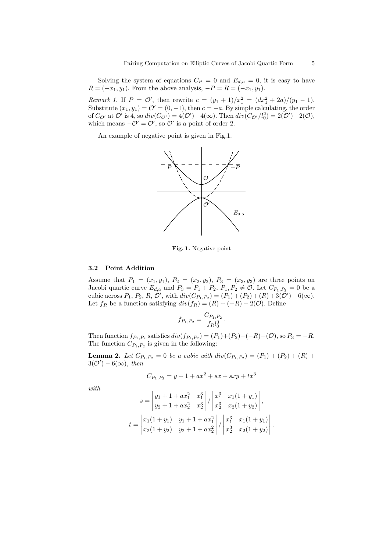Solving the system of equations  $C_P = 0$  and  $E_{d,a} = 0$ , it is easy to have  $R = (-x_1, y_1)$ . From the above analysis,  $-P = R = (-x_1, y_1)$ .

*Remark 1.* If  $P = \mathcal{O}'$ , then rewrite  $c = (y_1 + 1)/x_1^2 = (dx_1^2 + 2a)/(y_1 - 1)$ . Substitute  $(x_1, y_1) = \mathcal{O}' = (0, -1)$ , then  $c = -a$ . By simple calculating, the order of  $C_{\mathcal{O}}$  at  $\mathcal{O}'$  is 4, so  $div(C_{\mathcal{O}'}) = 4(\mathcal{O}') - 4(\infty)$ . Then  $div(C_{\mathcal{O}'}/l_0^2) = 2(\mathcal{O}') - 2(\mathcal{O})$ , which means  $-\mathcal{O}' = \mathcal{O}'$ , so  $\mathcal{O}'$  is a point of order 2.

An example of negative point is given in Fig.1.



Fig. 1. Negative point

#### 3.2 Point Addition

Assume that  $P_1 = (x_1, y_1), P_2 = (x_2, y_2), P_3 = (x_3, y_3)$  are three points on Jacobi quartic curve  $E_{d,a}$  and  $P_3 = P_1 + P_2$ ,  $P_1, P_2 \neq \mathcal{O}$ . Let  $C_{P_1,P_2} = 0$  be a cubic across  $P_1, P_2, R, O',$  with  $div(C_{P_1, P_2}) = (P_1) + (P_2) + (R) + 3(O') - 6(\infty)$ . Let  $f_R$  be a function satisfying  $div(f_R) = (R) + (-R) - 2(\mathcal{O})$ . Define

$$
f_{P_1,P_2} = \frac{C_{P_1,P_2}}{f_R l_0^3}.
$$

Then function  $f_{P_1,P_2}$  satisfies  $div(f_{P_1,P_2}) = (P_1)+(P_2)-(-R)-(\mathcal{O})$ , so  $P_3 = -R$ . The function  $C_{P_1,P_2}$  is given in the following:

**Lemma 2.** Let  $C_{P_1,P_2} = 0$  be a cubic with  $div(C_{P_1,P_2}) = (P_1) + (P_2) + (R) + (P_1)$  $3(\mathcal{O}') - 6(\infty)$ , then

$$
C_{P_1, P_2} = y + 1 + ax^2 + sx + sxy + tx^3
$$

with

$$
s = \begin{vmatrix} y_1 + 1 + ax_1^2 & x_1^3 \\ y_2 + 1 + ax_2^2 & x_2^3 \end{vmatrix} / \begin{vmatrix} x_1^3 & x_1(1 + y_1) \\ x_2^3 & x_2(1 + y_2) \end{vmatrix},
$$
  
\n
$$
t = \begin{vmatrix} x_1(1 + y_1) & y_1 + 1 + ax_1^2 \\ x_2(1 + y_2) & y_2 + 1 + ax_2^2 \end{vmatrix} / \begin{vmatrix} x_1^3 & x_1(1 + y_1) \\ x_2^3 & x_2(1 + y_2) \end{vmatrix}.
$$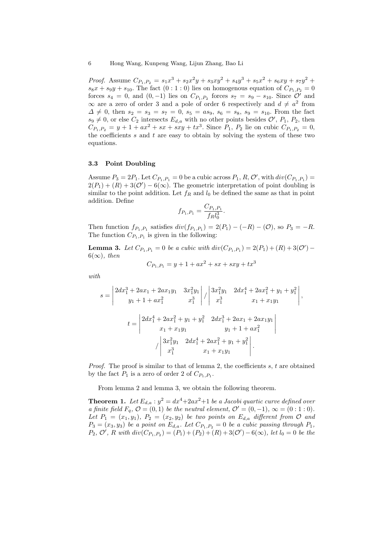*Proof.* Assume  $C_{P_1,P_2} = s_1x^3 + s_2x^2y + s_3xy^2 + s_4y^3 + s_5x^2 + s_6xy + s_7y^2$  $s_8x + s_9y + s_{10}$ . The fact  $(0:1:0)$  lies on homogenous equation of  $C_{P_1,P_2} = 0$ forces  $s_4 = 0$ , and  $(0, -1)$  lies on  $C_{P_1, P_2}$  forces  $s_7 = s_9 - s_{10}$ . Since  $\mathcal{O}'$  and  $\infty$  are a zero of order 3 and a pole of order 6 respectively and  $d \neq a^2$  from  $\Delta \neq 0$ , then  $s_2 = s_3 = s_7 = 0$ ,  $s_5 = as_9$ ,  $s_6 = s_8$ ,  $s_9 = s_{10}$ . From the fact  $s_9 \neq 0$ , or else  $C_2$  intersects  $E_{d,a}$  with no other points besides  $\mathcal{O}'$ ,  $P_1$ ,  $P_2$ , then  $C_{P_1,P_2} = y + 1 + ax^2 + sx + sxy + tx^3$ . Since  $P_1, P_2$  lie on cubic  $C_{P_1,P_2} = 0$ , the coefficients  $s$  and  $t$  are easy to obtain by solving the system of these two equations.

#### 3.3 Point Doubling

Assume  $P_3 = 2P_1$ . Let  $C_{P_1,P_1} = 0$  be a cubic across  $P_1, R, \mathcal{O}'$ , with  $div(C_{P_1,P_1}) =$  $2(P_1) + (R) + 3(O') - 6(\infty)$ . The geometric interpretation of point doubling is similar to the point addition. Let  $f_R$  and  $l_0$  be defined the same as that in point addition. Define

$$
f_{P_1,P_1} = \frac{C_{P_1,P_1}}{f_R l_0^3}.
$$

Then function  $f_{P_1,P_1}$  satisfies  $div(f_{P_1,P_1}) = 2(P_1) - (-R) - (0)$ , so  $P_3 = -R$ . The function  $C_{P_1,P_1}$  is given in the following:

**Lemma 3.** Let  $C_{P_1,P_1} = 0$  be a cubic with  $div(C_{P_1,P_1}) = 2(P_1) + (R) + 3(\mathcal{O}')$  $6(\infty)$ , then

$$
C_{P_1, P_1} = y + 1 + ax^2 + sx + sxy + tx^3
$$

with

$$
s = \begin{vmatrix} 2dx_1^3 + 2ax_1 + 2ax_1y_1 & 3x_1^2y_1 \\ y_1 + 1 + ax_1^2 & x_1^3 \end{vmatrix} / \begin{vmatrix} 3x_1^2y_1 & 2dx_1^4 + 2ax_1^2 + y_1 + y_1^2 \\ x_1^3 & x_1 + x_1y_1 \end{vmatrix},
$$
  

$$
t = \begin{vmatrix} 2dx_1^4 + 2ax_1^2 + y_1 + y_1^2 & 2dx_1^3 + 2ax_1 + 2ax_1y_1 \\ x_1 + x_1y_1 & y_1 + 1 + ax_1^2 \end{vmatrix}
$$
  

$$
/ \begin{vmatrix} 3x_1^2y_1 & 2dx_1^4 + 2ax_1^2 + y_1 + y_1^2 \\ x_1^3 & x_1 + x_1y_1 \end{vmatrix}.
$$

*Proof.* The proof is similar to that of lemma 2, the coefficients  $s, t$  are obtained by the fact  $P_1$  is a zero of order 2 of  $C_{P_1,P_1}$ .

From lemma 2 and lemma 3, we obtain the following theorem.

**Theorem 1.** Let  $E_{d,a}: y^2 = dx^4 + 2ax^2 + 1$  be a Jacobi quartic curve defined over a finite field  $F_q$ ,  $\mathcal{O} = (0, 1)$  be the neutral element,  $\mathcal{O}' = (0, -1)$ ,  $\infty = (0 : 1 : 0)$ . Let  $P_1 = (x_1, y_1), P_2 = (x_2, y_2)$  be two points on  $E_{d,a}$  different from  $\mathcal O$  and  $P_3 = (x_3, y_3)$  be a point on  $E_{d,a}$ . Let  $C_{P_1,P_2} = 0$  be a cubic passing through  $P_1$ ,  $P_2, \mathcal{O}', R \text{ with } div(C_{P_1, P_2}) = (P_1) + (P_2) + (R) + 3(\mathcal{O}') - 6(\infty), \text{ let } l_0 = 0 \text{ be the }$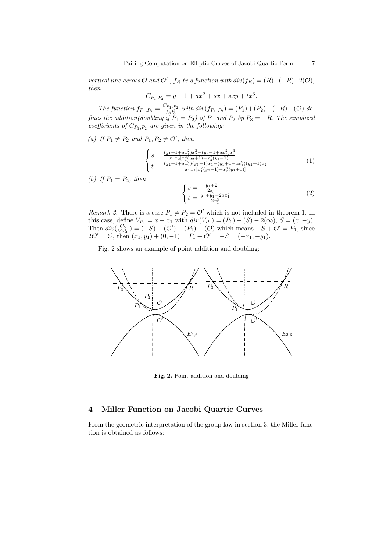vertical line across  $O$  and  $O'$ ,  $f_R$  be a function with  $div(f_R) = (R) + (-R) - 2(O)$ , then

$$
C_{P_1, P_2} = y + 1 + ax^2 + sx + sxy + tx^3.
$$

The function  $f_{P_1,P_2} = \frac{C_{P_1,P_2}}{f_R l_0^3}$  with  $div(f_{P_1,P_2}) = (P_1) + (P_2) - (-R) - (O)$  defines the addition(doubling if  $P_1 = P_2$ ) of  $P_1$  and  $P_2$  by  $P_3 = -R$ . The simplized coefficients of  $C_{P_1,P_2}$  are given in the following:

(a) If  $P_1 \neq P_2$  and  $P_1, P_2 \neq O'$ , then

$$
\begin{cases}\ns = \frac{(y_1 + 1 + ax_1^2)x_2^3 - (y_2 + 1 + ax_2^2)x_1^3}{x_1x_2[x_1^2(y_2 + 1) - x_2^2(y_1 + 1)]} \\
t = \frac{(y_2 + 1 + ax_2^2)(y_1 + 1)x_1 - (y_1 + 1 + ax_1^2)(y_2 + 1)x_2}{x_1x_2[x_1^2(y_2 + 1) - x_2^2(y_1 + 1)]}\n\end{cases} (1)
$$

(b) If  $P_1 = P_2$ , then

$$
\begin{cases}\ns = -\frac{y_1 + 2}{2x_1} \\
t = \frac{y_1 + y_1^2 - 2ax_1^2}{2x_1^3}\n\end{cases} \tag{2}
$$

Remark 2. There is a case  $P_1 \neq P_2 = \mathcal{O}'$  which is not included in theorem 1. In this case, define  $V_{P_1} = x - x_1$  with  $div(V_{P_1}) = (P_1) + (S) - 2(\infty), S = (x, -y)$ . Then  $div(\frac{C_S}{V_P l_0}) = (-S) + (\mathcal{O}') - (P_1) - (\mathcal{O})$  which means  $-S + \mathcal{O}' = P_1$ , since  $2\mathcal{O}' = \mathcal{O}$ , then  $(x_1, y_1) + (0, -1) = P_1 + \mathcal{O}' = -S = (-x_1, -y_1).$ 

Fig. 2 shows an example of point addition and doubling:



Fig. 2. Point addition and doubling

# 4 Miller Function on Jacobi Quartic Curves

From the geometric interpretation of the group law in section 3, the Miller function is obtained as follows: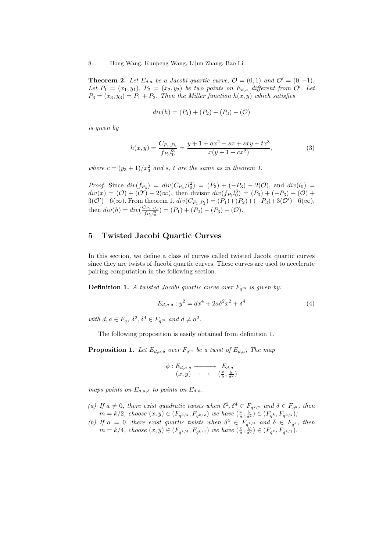**Theorem 2.** Let  $E_{d,a}$  be a Jacobi quartic curve,  $\mathcal{O} = (0,1)$  and  $\mathcal{O}' = (0,-1)$ . Let  $P_1 = (x_1, y_1), P_2 = (x_2, y_2)$  be two points on  $E_{d,a}$  different from  $\mathcal{O}'$ . Let  $P_3 = (x_3, y_3) = P_1 + P_2$ . Then the Miller function  $h(x, y)$  which satisfies

$$
div(h) = (P_1) + (P_2) - (P_3) - (O)
$$

is given by

$$
h(x,y) = \frac{C_{P_1,P_2}}{f_{P_3}l_0^3} = \frac{y+1+ax^2+sx+sxy+tx^3}{x(y+1-cx^2)},
$$
\n(3)

where  $c = (y_3 + 1)/x_3^2$  and s, t are the same as in theorem 1.

*Proof.* Since  $div(f_{P_3}) = div(C_{P_3}/l_0^2) = (P_3) + (-P_3) - 2(\mathcal{O})$ , and  $div(l_0) =$  $div(x) = (0) + (0') - 2(\infty)$ , then divisor  $div(f_{P_3}l_0^3) = (P_3) + (-P_3) + (0) +$  $3(\mathcal{O}')-6(\infty)$ . From theorem 1,  $div(C_{P_1,P_2}) = (P_1)+(P_2)+(-P_3)+3(\mathcal{O}')-6(\infty)$ , then  $div(h) = div(\frac{C_{P_1,P_2}}{f_1 h_2})$  $\frac{(\mathcal{P}_1,\mathcal{P}_2)}{f_{P_3}l_0^3}$  =  $(P_1)+(P_2)-(P_3)-(O)$ .

# 5 Twisted Jacobi Quartic Curves

In this section, we define a class of curves called twisted Jacobi quartic curves since they are twists of Jacobi quartic curves. These curves are used to accelerate pairing computation in the following section.

**Definition 1.** A twisted Jacobi quartic curve over  $F_{q^m}$  is given by:

$$
E_{d,a,\delta}: y^2 = dx^4 + 2a\delta^2 x^2 + \delta^4 \tag{4}
$$

with  $d, a \in F_q$ ,  $\delta^2, \delta^4 \in F_{q^m}$  and  $d \neq a^2$ .

The following proposition is easily obtained from definition 1.

**Proposition 1.** Let  $E_{d,a,\delta}$  over  $F_{q^m}$  be a twist of  $E_{d,a}$ , The map

$$
\begin{array}{ccc}\n\phi: E_{d,a,\delta} & \xrightarrow{\qquad} & E_{d,a} \\
(x,y) & \longmapsto & \left(\frac{x}{\delta}, \frac{y}{\delta^2}\right)\n\end{array}
$$

maps points on  $E_{d,a,\delta}$  to points on  $E_{d,a}$ .

- (a) If  $a \neq 0$ , there exist quadratic twists when  $\delta^2, \delta^4 \in F_{q^{k/2}}$  and  $\delta \in F_{q^k}$ , then  $m = k/2$ , choose  $(x, y) \in (F_{q^{k/2}}, F_{q^{k/2}})$  we have  $(\frac{x}{\delta}, \frac{y^2}{\delta^2}) \in (F_{q^k}, F_{q^{k/2}})$ ;
- (b) If  $a = 0$ , there exist quartic twists when  $\delta^4 \in F_{q^{k/4}}$  and  $\delta \in F_{q^k}$ , then  $m = k/4$ , choose  $(x, y) \in (F_{q^{k/4}}, F_{q^{k/4}})$  we have  $(\frac{x}{\delta}, \frac{y}{\delta^2}) \in (F_{q^k}, F_{q^{k/2}})$ .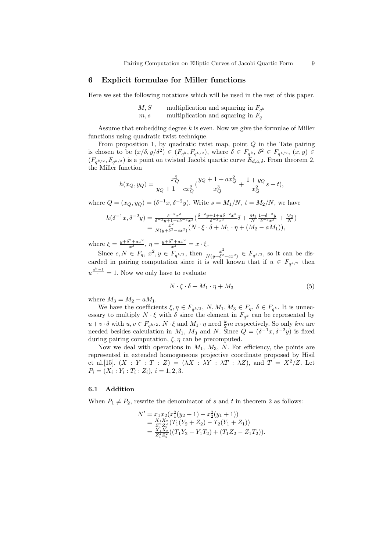## 6 Explicit formulae for Miller functions

Here we set the following notations which will be used in the rest of this paper.

$$
M, S \qquad \text{multiplication and squaring in } F_{q^k}
$$
  

$$
m, s \qquad \text{multiplication and squaring in } F_q
$$

Assume that embedding degree  $k$  is even. Now we give the formulae of Miller functions using quadratic twist technique.

From proposition 1, by quadratic twist map, point  $Q$  in the Tate pairing is chosen to be  $(x/\delta, y/\delta^2) \in (F_{q^k}, F_{q^{k/2}})$ , where  $\delta \in F_{q^k}, \delta^2 \in F_{q^{k/2}}, (x, y) \in$  $(F_{q^{k/2}}, F_{q^{k/2}})$  is a point on twisted Jacobi quartic curve  $E_{d,a,\delta}$ . From theorem 2, the Miller function

$$
h(x_Q, y_Q) = \frac{x_Q^2}{y_Q + 1 - cx_Q^2} \left( \frac{y_Q + 1 + ax_Q^2}{x_Q^3} + \frac{1 + y_Q}{x_Q^2} s + t \right),\,
$$

where  $Q = (x_Q, y_Q) = (\delta^{-1}x, \delta^{-2}y)$ . Write  $s = M_1/N$ ,  $t = M_2/N$ , we have

$$
h(\delta^{-1}x, \delta^{-2}y) = \frac{\delta^{-2}x^2}{\delta^{-2}y + 1 - c\delta^{-2}x^2} \left( \frac{\delta^{-2}y + 1 + a\delta^{-2}x^2}{\delta^{-2}x^3} \delta + \frac{M_1}{N} \frac{1 + \delta^{-2}y}{\delta^{-2}x^2} + \frac{M_2}{N} \right)
$$
  
= 
$$
\frac{x^2}{N(y + \delta^2 - cx^2)} (N \cdot \xi \cdot \delta + M_1 \cdot \eta + (M_2 - aM_1)),
$$

where  $\xi = \frac{y + \delta^2 + ax^2}{x^3}$ ,  $\eta = \frac{y + \delta^2 + ax^2}{x^2} = x \cdot \xi$ .

Since  $c, N \in F_q$ ,  $x^2, y \in F_{q^{k/2}}$ , then  $\frac{x^2}{N(q+\delta^2)}$  $\frac{x^2}{N(y+\delta^2-cx^2)} \in F_{q^{k/2}}$ , so it can be discarded in pairing computation since it is well known that if  $u \in F_{q^{k/2}}$  then  $u^{\frac{q^k-1}{r}}=1.$  Now we only have to evaluate

$$
N \cdot \xi \cdot \delta + M_1 \cdot \eta + M_3 \tag{5}
$$

where  $M_3 = M_2 - aM_1$ .

We have the coefficients  $\xi, \eta \in F_{q^{k/2}}, N, M_1, M_3 \in F_q, \delta \in F_{q^k}$ . It is unnecessary to multiply  $N \cdot \xi$  with  $\delta$  since the element in  $F_{q^k}$  can be represented by  $u+v\cdot\delta$  with  $u, v\in F_{q^{k/2}}$ .  $N\cdot\xi$  and  $M_1\cdot\eta$  need  $\frac{k}{2}m$  respectively. So only km are needed besides calculation in  $M_1$ ,  $M_3$  and N. Since  $Q = (\delta^{-1}x, \delta^{-2}y)$  is fixed during pairing computation,  $\xi, \eta$  can be precomputed.

Now we deal with operations in  $M_1$ ,  $M_3$ , N. For efficiency, the points are represented in extended homogeneous projective coordinate proposed by Hisil et al.[15].  $(X : Y : T : Z) = (\lambda X : \lambda Y : \lambda T : \lambda Z)$ , and  $T = X^2/Z$ . Let  $P_i = (X_i : Y_i : T_i : Z_i), i = 1, 2, 3.$ 

#### 6.1 Addition

When  $P_1 \neq P_2$ , rewrite the denominator of s and t in theorem 2 as follows:

$$
N' = x_1 x_2 (x_1^2 (y_2 + 1) - x_2^2 (y_1 + 1))
$$
  
= 
$$
\frac{X_1 X_2}{Z_1^2 Z_2^2} (T_1 (Y_2 + Z_2) - T_2 (Y_1 + Z_1))
$$
  
= 
$$
\frac{X_1 X_2^2}{Z_1^2 Z_2^2} ((T_1 Y_2 - Y_1 T_2) + (T_1 Z_2 - Z_1 T_2)).
$$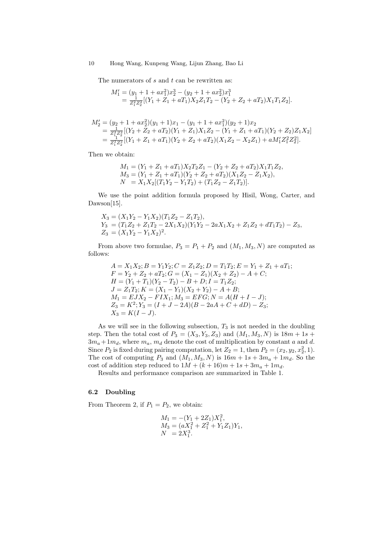The numerators of  $s$  and  $t$  can be rewritten as:

$$
M_1' = (y_1 + 1 + ax_1^2)x_2^3 - (y_2 + 1 + ax_2^2)x_1^3
$$
  
= 
$$
\frac{1}{Z_1^2 Z_2^2} [(Y_1 + Z_1 + aT_1)X_2 Z_1 T_2 - (Y_2 + Z_2 + aT_2)X_1 T_1 Z_2].
$$

$$
M'_2 = (y_2 + 1 + ax_2^2)(y_1 + 1)x_1 - (y_1 + 1 + ax_1^2)(y_2 + 1)x_2
$$
  
= 
$$
\frac{1}{Z_1^2 Z_2^2} [(Y_2 + Z_2 + aT_2)(Y_1 + Z_1)X_1Z_2 - (Y_1 + Z_1 + aT_1)(Y_2 + Z_2)Z_1X_2]
$$
  
= 
$$
\frac{1}{Z_1^2 Z_2^2} [(Y_1 + Z_1 + aT_1)(Y_2 + Z_2 + aT_2)(X_1Z_2 - X_2Z_1) + aM'_1Z_1^2Z_2^2].
$$

Then we obtain:

$$
M_1 = (Y_1 + Z_1 + aT_1)X_2T_2Z_1 - (Y_2 + Z_2 + aT_2)X_1T_1Z_2,
$$
  
\n
$$
M_3 = (Y_1 + Z_1 + aT_1)(Y_2 + Z_2 + aT_2)(X_1Z_2 - Z_1X_2),
$$
  
\n
$$
N = X_1X_2[(T_1Y_2 - Y_1T_2) + (T_1Z_2 - Z_1T_2)].
$$

We use the point addition formula proposed by Hisil, Wong, Carter, and Dawson[15].

$$
\begin{array}{l} X_3=(X_1Y_2-Y_1X_2)(T_1Z_2-Z_1T_2),\\ Y_3=(T_1Z_2+Z_1T_2-2X_1X_2)(Y_1Y_2-2aX_1X_2+Z_1Z_2+dT_1T_2)-Z_3,\\ Z_3=(X_1Y_2-Y_1X_2)^2. \end{array}
$$

From above two formulae,  $P_3 = P_1 + P_2$  and  $(M_1, M_3, N)$  are computed as follows:

$$
A = X_1 X_2; B = Y_1 Y_2; C = Z_1 Z_2; D = T_1 T_2; E = Y_1 + Z_1 + aT_1;
$$
  
\n
$$
F = Y_2 + Z_2 + aT_2; G = (X_1 - Z_1)(X_2 + Z_2) - A + C;
$$
  
\n
$$
H = (Y_1 + T_1)(Y_2 - T_2) - B + D; I = T_1 Z_2;
$$
  
\n
$$
J = Z_1 T_2; K = (X_1 - Y_1)(X_2 + Y_2) - A + B;
$$
  
\n
$$
M_1 = EJX_2 - FIX_1; M_3 = EFG; N = A(H + I - J);
$$
  
\n
$$
Z_3 = K^2; Y_3 = (I + J - 2A)(B - 2aA + C + dD) - Z_3;
$$
  
\n
$$
X_3 = K(I - J).
$$

As we will see in the following subsection,  $T_3$  is not needed in the doubling step. Then the total cost of  $P_3 = (X_3, Y_3, Z_3)$  and  $(M_1, M_3, N)$  is  $18m + 1s +$  $3m_a + 1m_d$ , where  $m_a$ ,  $m_d$  denote the cost of multiplication by constant a and d. Since  $P_2$  is fixed during pairing computation, let  $Z_2 = 1$ , then  $P_2 = (x_2, y_2, x_2^2, 1)$ . The cost of computing  $P_3$  and  $(M_1, M_3, N)$  is  $16m + 1s + 3m_a + 1m_d$ . So the cost of addition step reduced to  $1M + (k+16)m + 1s + 3m_a + 1m_d$ .

Results and performance comparison are summarized in Table 1.

## 6.2 Doubling

From Theorem 2, if  $P_1 = P_2$ , we obtain:

$$
M_1 = -(Y_1 + 2Z_1)X_1^2,
$$
  
\n
$$
M_3 = (aX_1^2 + Z_1^2 + Y_1Z_1)Y_1,
$$
  
\n
$$
N = 2X_1^3.
$$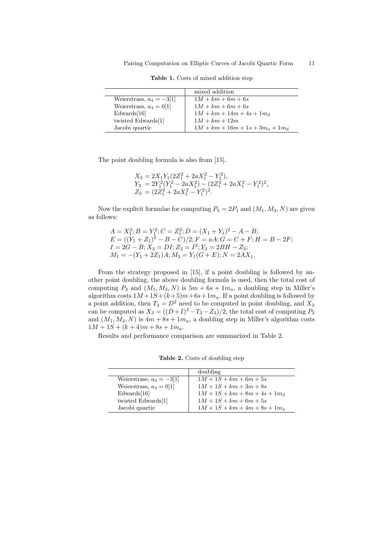|                            | mixed addition                     |
|----------------------------|------------------------------------|
| Weierstrass, $a_4 = -3[1]$ | $1M + km + 6m + 6s$                |
| Weierstrass, $a_4 = 0[1]$  | $1M + km + 6m + 6s$                |
| Edwards[16]                | $1M + km + 14m + 4s + 1m_d$        |
| twisted Edwards[1]         | $1M + km + 12m$                    |
| Jacobi quartic             | $1M + km + 16m + 1s + 3m_a + 1m_d$ |

Table 1. Costs of mixed addition step

The point doubling formula is also from [15].

$$
\begin{array}{l} X_3=2X_1Y_1(2Z_1^2+2aX_1^2-Y_1^2),\\ Y_3=2Y_1^2(Y_1^2-2aX_1^2)-(2Z_1^2+2aX_1^2-Y_1^2)^2,\\ Z_3=(2Z_1^2+2aX_1^2-Y_1^2)^2. \end{array}
$$

Now the explicit formulae for computing  $P_3 = 2P_1$  and  $(M_1, M_3, N)$  are given as follows:

$$
A = X_1^2; B = Y_1^2; C = Z_1^2; D = (X_1 + Y_1)^2 - A - B;
$$
  
\n
$$
E = ((Y_1 + Z_1)^2 - B - C)/2; F = aA; G = C + F; H = B - 2F;
$$
  
\n
$$
I = 2G - B; X_3 = DI; Z_3 = I^2; Y_3 = 2BH - Z_3;
$$
  
\n
$$
M_1 = -(Y_1 + 2Z_1)A; M_3 = Y_1(G + E); N = 2AX_1.
$$

From the strategy proposed in [15], if a point doubling is followed by another point doubling, the above doubling formula is used, then the total cost of computing  $P_3$  and  $(M_1, M_3, N)$  is  $5m + 6s + 1m_a$ , a doubling step in Miller's algorithm costs  $1M+1S+(k+5)m+6s+1m_a$ . If a point doubling is followed by a point addition, then  $T_3 = D^2$  need to be computed in point doubling, and  $X_3$ can be computed as  $X_3 = ((D+I)^2 - T_3 - Z_3)/2$ , the total cost of computing  $P_3$ and  $(M_1, M_3, N)$  is  $4m + 8s + 1m_a$ , a doubling step in Miller's algorithm costs  $1M + 1S + (k + 4)m + 8s + 1m_a$ .

Results and performance comparison are summarized in Table 2.

Table 2. Costs of doubling step

|                            | doubling                        |
|----------------------------|---------------------------------|
| Weierstrass, $a_4 = -3 1 $ | $1M + 1S + km + 6m + 5s$        |
| Weierstrass, $a_4 = 0[1]$  | $1M + 1S + km + 3m + 8s$        |
| Edwards[16]                | $1M + 1S + km + 8m + 4s + 1m_d$ |
| twisted Edwards[1]         | $1M + 1S + km + 6m + 5s$        |
| Jacobi quartic             | $1M + 1S + km + 4m + 8s + 1m_a$ |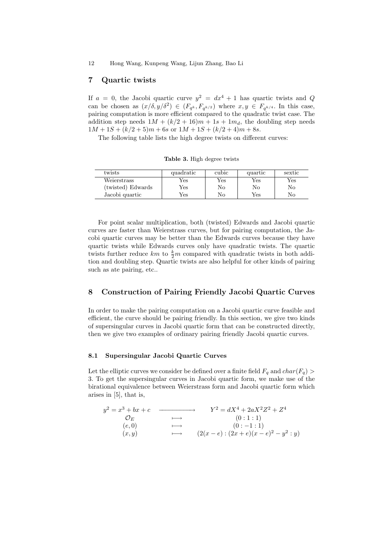## 7 Quartic twists

If  $a = 0$ , the Jacobi quartic curve  $y^2 = dx^4 + 1$  has quartic twists and Q can be chosen as  $(x/\delta, y/\delta^2) \in (F_{q^k}, F_{q^{k/2}})$  where  $x, y \in F_{q^{k/4}}$ . In this case, pairing computation is more efficient compared to the quadratic twist case. The addition step needs  $1M + (k/2 + 16)m + 1s + 1m_d$ , the doubling step needs  $1M + 1S + (k/2 + 5)m + 6s$  or  $1M + 1S + (k/2 + 4)m + 8s$ .

The following table lists the high degree twists on different curves:

Table 3. High degree twists

| twists            | quadratic | cubic | quartic | sextic       |
|-------------------|-----------|-------|---------|--------------|
| Weierstrass       | Yes       | Yes   | Yes     | $_{\rm Yes}$ |
| (twisted) Edwards | Yes       | No    | No      | No           |
| Jacobi quartic    | Yes       | Nο    | Yes     | No           |

For point scalar multiplication, both (twisted) Edwards and Jacobi quartic curves are faster than Weierstrass curves, but for pairing computation, the Jacobi quartic curves may be better than the Edwards curves because they have quartic twists while Edwards curves only have quadratic twists. The quartic twists further reduce  $km$  to  $\frac{k}{2}m$  compared with quadratic twists in both addition and doubling step. Quartic twists are also helpful for other kinds of pairing such as ate pairing, etc..

## 8 Construction of Pairing Friendly Jacobi Quartic Curves

In order to make the pairing computation on a Jacobi quartic curve feasible and efficient, the curve should be pairing friendly. In this section, we give two kinds of supersingular curves in Jacobi quartic form that can be constructed directly, then we give two examples of ordinary pairing friendly Jacobi quartic curves.

#### 8.1 Supersingular Jacobi Quartic Curves

Let the elliptic curves we consider be defined over a finite field  $F_q$  and  $char(F_q)$ 3. To get the supersingular curves in Jacobi quartic form, we make use of the birational equivalence between Weierstrass form and Jacobi quartic form which arises in [5], that is,

$$
y^{2} = x^{3} + bx + c
$$
\n
$$
x^{2} = dX^{4} + 2aX^{2}Z^{2} + Z^{4}
$$
\n
$$
y^{2} = dX^{4} + 2aX^{2}Z^{2} + Z^{4}
$$
\n
$$
(0: 1: 1)
$$
\n
$$
(e, 0)
$$
\n
$$
(0: -1: 1)
$$
\n
$$
(2(x - e): (2x + e)(x - e)^{2} - y^{2}: y)
$$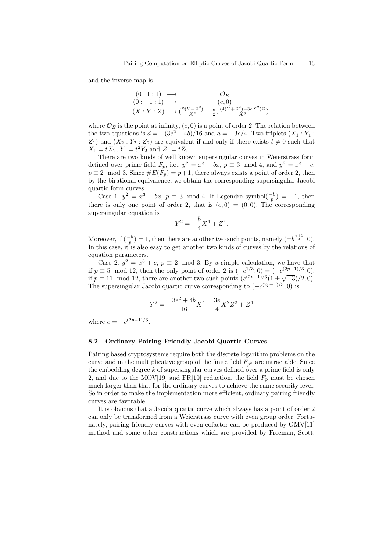and the inverse map is

$$
(0:1:1) \longmapsto \mathcal{O}_E
$$
  
\n
$$
(0:-1:1) \longmapsto (e,0)
$$
  
\n
$$
(X:Y:Z) \longmapsto (\frac{2(Y+Z^2)}{X^2} - \frac{e}{2}, \frac{(4(Y+Z^2)-3eX^2)Z}{X^3}).
$$

where  $\mathcal{O}_E$  is the point at infinity,  $(e, 0)$  is a point of order 2. The relation between the two equations is  $d = -(3e^2 + 4b)/16$  and  $a = -3e/4$ . Two triplets  $(X_1 : Y_1 : Y_2)$  $Z_1$ ) and  $(X_2 : Y_2 : Z_2)$  are equivalent if and only if there exists  $t \neq 0$  such that  $X_1 = tX_2, Y_1 = t^2Y_2$  and  $Z_1 = tZ_2$ .

There are two kinds of well known supersingular curves in Weierstrass form defined over prime field  $F_p$ , i.e.,  $y^2 = x^3 + bx$ ,  $p \equiv 3 \mod 4$ , and  $y^2 = x^3 + c$ ,  $p \equiv 2 \mod 3$ . Since  $\#E(F_p) = p+1$ , there always exists a point of order 2, then by the birational equivalence, we obtain the corresponding supersingular Jacobi quartic form curves.

Case 1.  $y^2 = x^3 + bx$ ,  $p \equiv 3 \mod 4$ . If Legendre symbol $\left(\frac{-b}{p}\right) = -1$ , then there is only one point of order 2, that is  $(e, 0) = (0, 0)$ . The corresponding supersingular equation is

$$
Y^2 = -\frac{b}{4}X^4 + Z^4.
$$

Moreover, if  $\left(\frac{-b}{p}\right) = 1$ , then there are another two such points, namely  $\left(\pm b^{\frac{p+1}{4}}, 0\right)$ . In this case, it is also easy to get another two kinds of curves by the relations of equation parameters.

Case 2.  $y^2 = x^3 + c$ ,  $p \equiv 2 \mod 3$ . By a simple calculation, we have that if  $p \equiv 5 \mod 12$ , then the only point of order 2 is  $(-c^{1/3}, 0) = (-c^{(2p-1)/3}, 0);$ if  $p \equiv 11 \mod 12$ , there are another two such points  $(c^{(2p-1)/3}(1 \pm \sqrt{-3})/2,0)$ . The supersingular Jacobi quartic curve corresponding to  $(-c^{(2p-1)/3},0)$  is

$$
Y^2=-\frac{3e^2+4b}{16}X^4-\frac{3e}{4}X^2Z^2+Z^4
$$

where  $e = -c^{(2p-1)/3}$ .

#### 8.2 Ordinary Pairing Friendly Jacobi Quartic Curves

Pairing based cryptosystems require both the discrete logarithm problems on the curve and in the multiplicative group of the finite field  $F_{p^k}$  are intractable. Since the embedding degree  $k$  of supersingular curves defined over a prime field is only 2, and due to the MOV[19] and FR[10] reduction, the field  $F_p$  must be chosen much larger than that for the ordinary curves to achieve the same security level. So in order to make the implementation more efficient, ordinary pairing friendly curves are favorable.

It is obvious that a Jacobi quartic curve which always has a point of order 2 can only be transformed from a Weierstrass curve with even group order. Fortunately, pairing friendly curves with even cofactor can be produced by GMV[11] method and some other constructions which are provided by Freeman, Scott,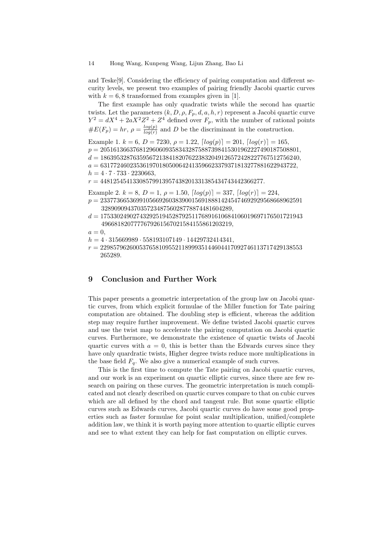and Teske[9]. Considering the efficiency of pairing computation and different security levels, we present two examples of pairing friendly Jacobi quartic curves with  $k = 6, 8$  transformed from examples given in [1].

The first example has only quadratic twists while the second has quartic twists. Let the parameters  $(k, D, \rho, F_p, d, a, h, r)$  represent a Jacobi quartic curve  $Y^2 = dX^4 + 2aX^2Z^2 + Z^4$  defined over  $F_p$ , with the number of rational points  $\#E(F_p) = hr, \, \rho = \frac{log(p)}{log(r)}$  $\frac{log(p)}{log(r)}$  and D be the discriminant in the construction.

Example 1.  $k = 6$ ,  $D = 7230$ ,  $\rho = 1.22$ ,  $\lceil log(p) \rceil = 201$ ,  $\lceil log(r) \rceil = 165$ ,

 $p = 2051613663768129606093583432875887398415301962227490187508801,$ 

 $d = 1863953287635956721384182076223832049126572428227767512756240,$ 

 $a = 631772460235361970180500642413596623379371813277881622943722,$  $h = 4 \cdot 7 \cdot 733 \cdot 2230663$ ,

 $r = 44812545413308579913957438201331385434743442366277.$ 

Example 2.  $k = 8$ ,  $D = 1$ ,  $\rho = 1.50$ ,  $\lceil log(p) \rceil = 337$ ,  $\lceil log(r) \rceil = 224$ ,

- $p = 23377366536991056692603839001569188814245474692929568668962591$ 3289090943703572348756028778874481604289,
- $d = 17533024902743292519452879251176891610684106019697176501721943\\$ 4966818207777679261567021584155861203219,
- $a=0$ ,
- $h = 4 \cdot 315669989 \cdot 558193107149 \cdot 14429732414341,$
- $r = 22985796260053765810955211899935144604417092746113717429138553$ 265289.

## 9 Conclusion and Further Work

This paper presents a geometric interpretation of the group law on Jacobi quartic curves, from which explicit formulae of the Miller function for Tate pairing computation are obtained. The doubling step is efficient, whereas the addition step may require further improvement. We define twisted Jacobi quartic curves and use the twist map to accelerate the pairing computation on Jacobi quartic curves. Furthermore, we demonstrate the existence of quartic twists of Jacobi quartic curves with  $a = 0$ , this is better than the Edwards curves since they have only quardratic twists, Higher degree twists reduce more multiplications in the base field  $F_q$ . We also give a numerical example of such curves.

This is the first time to compute the Tate pairing on Jacobi quartic curves, and our work is an experiment on quartic elliptic curves, since there are few research on pairing on these curves. The geometric interpretation is much complicated and not clearly described on quartic curves compare to that on cubic curves which are all defined by the chord and tangent rule. But some quartic elliptic curves such as Edwards curves, Jacobi quartic curves do have some good properties such as faster formulae for point scalar multiplication, unified/complete addition law, we think it is worth paying more attention to quartic elliptic curves and see to what extent they can help for fast computation on elliptic curves.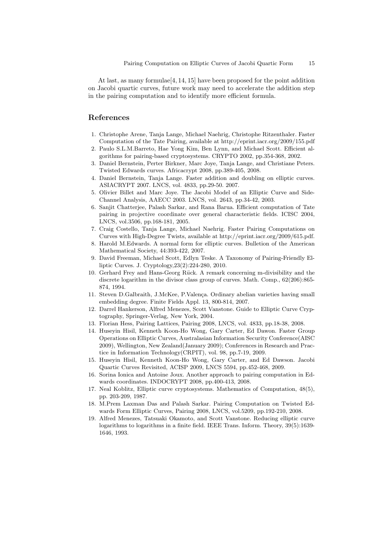At last, as many formulae  $[4, 14, 15]$  have been proposed for the point addition on Jacobi quartic curves, future work may need to accelerate the addition step in the pairing computation and to identify more efficient formula.

## References

- 1. Christophe Arene, Tanja Lange, Michael Naehrig, Christophe Ritzenthaler. Faster Computation of the Tate Pairing, available at http://eprint.iacr.org/2009/155.pdf
- 2. Paulo S.L.M.Barreto, Hae Yong Kim, Ben Lynn, and Michael Scott. Efficient algorithms for pairing-based cryptosystems. CRYPTO 2002, pp.354-368, 2002.
- 3. Daniel Bernstein, Perter Birkner, Marc Joye, Tanja Lange, and Christiane Peters. Twisted Edwards curves. Africacrypt 2008, pp.389-405, 2008.
- 4. Daniel Bernstein, Tanja Lange. Faster addition and doubling on elliptic curves. ASIACRYPT 2007. LNCS, vol. 4833, pp.29-50. 2007.
- 5. Olivier Billet and Marc Joye. The Jacobi Model of an Elliptic Curve and Side-Channel Analysis, AAECC 2003. LNCS, vol. 2643, pp.34-42, 2003.
- 6. Sanjit Chatterjee, Palash Sarkar, and Rana Barua. Efficient computation of Tate pairing in projective coordinate over general characteristic fields. ICISC 2004, LNCS, vol.3506, pp.168-181, 2005.
- 7. Craig Costello, Tanja Lange, Michael Naehrig. Faster Pairing Computations on Curves with High-Degree Twists, available at http://eprint.iacr.org/2009/615.pdf.
- 8. Harold M.Edwards. A normal form for elliptic curves. Bulletion of the American Mathematical Society, 44:393-422, 2007.
- 9. David Freeman, Michael Scott, Edlyn Teske. A Taxonomy of Pairing-Friendly Elliptic Curves. J. Cryptology,23(2):224-280, 2010.
- 10. Gerhard Frey and Hans-Georg Rück. A remark concerning m-divisibility and the discrete logarithm in the divisor class group of curves. Math. Comp., 62(206):865- 874, 1994.
- 11. Steven D.Galbraith, J.McKee, P.Valença. Ordinary abelian varieties having small embedding degree. Finite Fields Appl. 13, 800-814, 2007.
- 12. Darrel Hankerson, Alfred Menezes, Scott Vanstone. Guide to Elliptic Curve Cryptography, Springer-Verlag, New York, 2004.
- 13. Florian Hess, Pairing Lattices, Pairing 2008, LNCS, vol. 4833, pp.18-38, 2008.
- 14. Huseyin Hisil, Kenneth Koon-Ho Wong, Gary Carter, Ed Dawon. Faster Group Operations on Elliptic Curves, Australasian Information Security Conference(AISC 2009), Wellington, New Zealand(January 2009); Conferences in Research and Practice in Information Technology(CRPIT), vol. 98, pp.7-19, 2009.
- 15. Huseyin Hisil, Kenneth Koon-Ho Wong, Gary Carter, and Ed Dawson. Jacobi Quartic Curves Revisited, ACISP 2009, LNCS 5594, pp.452-468, 2009.
- 16. Sorina Ionica and Antoine Joux. Another approach to pairing computation in Edwards coordinates. INDOCRYPT 2008, pp.400-413, 2008.
- 17. Neal Koblitz, Elliptic curve cryptosystems. Mathematics of Computation, 48(5), pp. 203-209, 1987.
- 18. M.Prem Laxman Das and Palash Sarkar. Pairing Computation on Twisted Edwards Form Elliptic Curves, Pairing 2008, LNCS, vol.5209, pp.192-210, 2008.
- 19. Alfred Menezes, Tatsuaki Okamoto, and Scott Vanstone. Reducing elliptic curve logarithms to logarithms in a finite field. IEEE Trans. Inform. Theory, 39(5):1639- 1646, 1993.